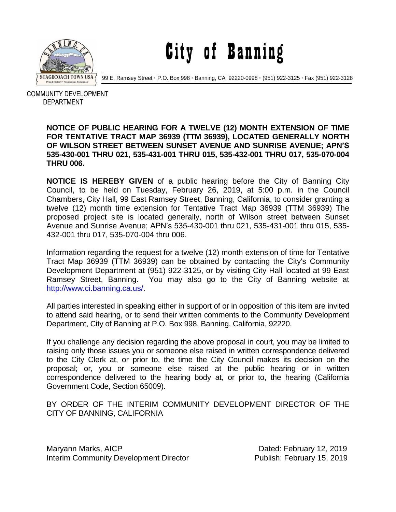

City of Banning

99 E. Ramsey Street **·** P.O. Box 998 **·** Banning, CA 92220-0998 **·** (951) 922-3125 **·** Fax (951) 922-3128

 COMMUNITY DEVELOPMENT DEPARTMENT

## **NOTICE OF PUBLIC HEARING FOR A TWELVE (12) MONTH EXTENSION OF TIME FOR TENTATIVE TRACT MAP 36939 (TTM 36939), LOCATED GENERALLY NORTH OF WILSON STREET BETWEEN SUNSET AVENUE AND SUNRISE AVENUE; APN'S 535-430-001 THRU 021, 535-431-001 THRU 015, 535-432-001 THRU 017, 535-070-004 THRU 006.**

**NOTICE IS HEREBY GIVEN** of a public hearing before the City of Banning City Council, to be held on Tuesday, February 26, 2019, at 5:00 p.m. in the Council Chambers, City Hall, 99 East Ramsey Street, Banning, California, to consider granting a twelve (12) month time extension for Tentative Tract Map 36939 (TTM 36939) The proposed project site is located generally, north of Wilson street between Sunset Avenue and Sunrise Avenue; APN's 535-430-001 thru 021, 535-431-001 thru 015, 535- 432-001 thru 017, 535-070-004 thru 006.

Information regarding the request for a twelve (12) month extension of time for Tentative Tract Map 36939 (TTM 36939) can be obtained by contacting the City's Community Development Department at (951) 922-3125, or by visiting City Hall located at 99 East Ramsey Street, Banning. You may also go to the City of Banning website at [http://www.ci.banning.ca.us/.](http://www.ci.banning.ca.us/)

All parties interested in speaking either in support of or in opposition of this item are invited to attend said hearing, or to send their written comments to the Community Development Department, City of Banning at P.O. Box 998, Banning, California, 92220.

If you challenge any decision regarding the above proposal in court, you may be limited to raising only those issues you or someone else raised in written correspondence delivered to the City Clerk at, or prior to, the time the City Council makes its decision on the proposal; or, you or someone else raised at the public hearing or in written correspondence delivered to the hearing body at, or prior to, the hearing (California Government Code, Section 65009).

BY ORDER OF THE INTERIM COMMUNITY DEVELOPMENT DIRECTOR OF THE CITY OF BANNING, CALIFORNIA

Maryann Marks, AICP **Dated: February 12, 2019** Interim Community Development Director **Publish: February 15, 2019**